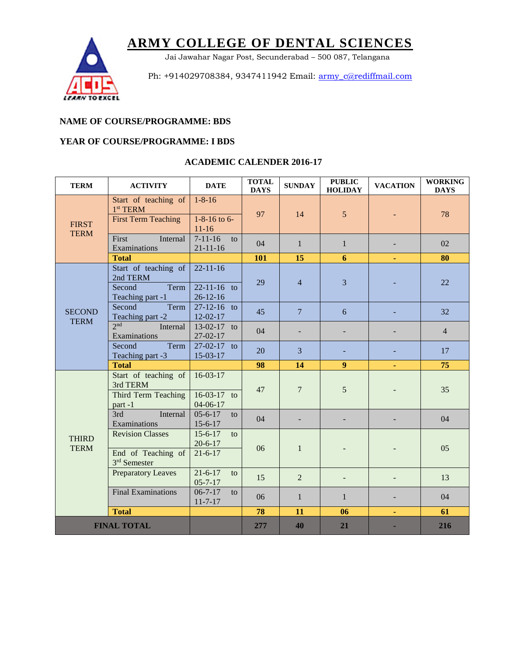

Jai Jawahar Nagar Post, Secunderabad – 500 087, Telangana

Ph: +914029708384, 9347411942 Email: [army\\_c@rediffmail.com](mailto:army_c@rediffmail.com)

### **NAME OF COURSE/PROGRAMME: BDS**

### **YEAR OF COURSE/PROGRAMME: I BDS**

| <b>TERM</b>                  | <b>ACTIVITY</b>                                         | <b>DATE</b>                                           | <b>TOTAL</b><br><b>DAYS</b> | <b>SUNDAY</b>  | <b>PUBLIC</b><br><b>HOLIDAY</b> | <b>VACATION</b> | <b>WORKING</b><br><b>DAYS</b> |
|------------------------------|---------------------------------------------------------|-------------------------------------------------------|-----------------------------|----------------|---------------------------------|-----------------|-------------------------------|
| <b>FIRST</b><br><b>TERM</b>  | Start of teaching of<br>$1st$ TERM                      | $1 - 8 - 16$                                          | 97                          | 14             | 5                               |                 | 78                            |
|                              | <b>First Term Teaching</b>                              | 1-8-16 to 6-<br>$11-16$                               |                             |                |                                 |                 |                               |
|                              | First<br>Internal<br>Examinations                       | $7-11-16$<br>$\mathbf{t}$<br>$21 - 11 - 16$           | 04                          | $\mathbf{1}$   | $\mathbf{1}$                    |                 | 02                            |
|                              | <b>Total</b>                                            |                                                       | <b>101</b>                  | 15             | 6                               | ٠               | 80                            |
| <b>SECOND</b><br><b>TERM</b> | Start of teaching of<br>2nd TERM                        | $22 - 11 - 16$                                        | 29                          | $\overline{4}$ | 3                               |                 | 22                            |
|                              | Second<br>Term<br>Teaching part -1                      | $22 - 11 - 16$ to<br>$26 - 12 - 16$                   |                             |                |                                 |                 |                               |
|                              | Second<br>Term<br>Teaching part -2                      | $27-12-16$ to<br>$12 - 02 - 17$                       | 45                          | $\overline{7}$ | 6                               |                 | 32                            |
|                              | 2nd<br>Internal<br>Examinations                         | 13-02-17 to<br>27-02-17                               | 04                          |                |                                 |                 | $\overline{4}$                |
|                              | Term<br>Second<br>Teaching part -3                      | 27-02-17 to<br>15-03-17                               | 20                          | 3              |                                 |                 | 17                            |
|                              | <b>Total</b>                                            |                                                       | 98                          | 14             | $\boldsymbol{9}$                |                 | 75                            |
| <b>THIRD</b><br><b>TERM</b>  | Start of teaching of<br>3rd TERM<br>Third Term Teaching | $16-03-17$<br>$16-03-17$ to                           | 47                          | 7              | 5                               |                 | 35                            |
|                              | part-1<br>3rd<br>Internal                               | $04 - 06 - 17$<br>$05 - 6 - 17$<br>to                 | 04                          |                |                                 |                 | 04                            |
|                              | Examinations<br><b>Revision Classes</b>                 | $15 - 6 - 17$<br>$15 - 6 - 17$<br>to<br>$20 - 6 - 17$ | 06                          | $\mathbf{1}$   |                                 |                 | 05                            |
|                              | End of Teaching of<br>3rd Semester                      | $21 - 6 - 17$                                         |                             |                |                                 |                 |                               |
|                              | <b>Preparatory Leaves</b>                               | $21 - 6 - 17$<br>to<br>$05 - 7 - 17$                  | 15                          | 2              |                                 |                 | 13                            |
|                              | <b>Final Examinations</b>                               | $06 - 7 - 17$<br>to<br>$11 - 7 - 17$                  | 06                          | $\mathbf{1}$   | 1                               |                 | 04                            |
| <b>Total</b>                 |                                                         |                                                       | 78                          | 11             | 06                              | ÷               | 61                            |
| <b>FINAL TOTAL</b>           |                                                         |                                                       | 277                         | 40             | 21                              |                 | 216                           |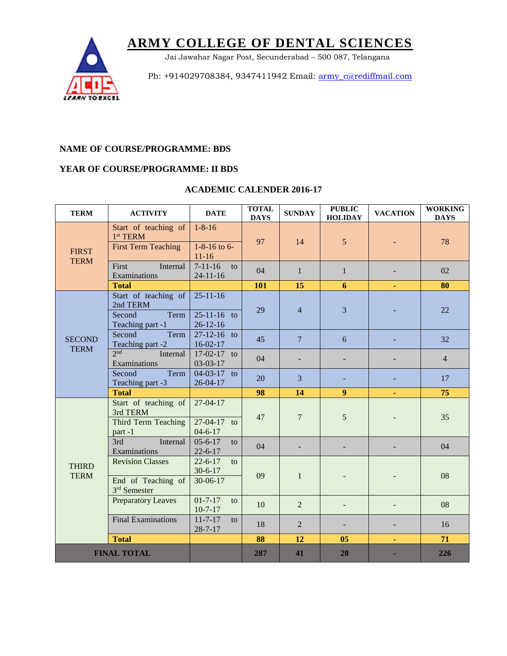

Jai Jawahar Nagar Post, Secunderabad – 500 087, Telangana

Ph: +914029708384, 9347411942 Email: [army\\_c@rediffmail.com](mailto:army_c@rediffmail.com)

#### **NAME OF COURSE/PROGRAMME: BDS**

### **YEAR OF COURSE/PROGRAMME: II BDS**

| <b>TERM</b>                  | <b>ACTIVITY</b>                                         | <b>DATE</b>                          | <b>TOTAL</b><br><b>DAYS</b> | <b>SUNDAY</b>   | <b>PUBLIC</b><br><b>HOLIDAY</b> | <b>VACATION</b> | <b>WORKING</b><br><b>DAYS</b> |
|------------------------------|---------------------------------------------------------|--------------------------------------|-----------------------------|-----------------|---------------------------------|-----------------|-------------------------------|
| <b>FIRST</b><br><b>TERM</b>  | Start of teaching of<br>1 <sup>st</sup> TERM            | $1 - 8 - 16$                         | 97                          | 14              | 5                               |                 | 78                            |
|                              | <b>First Term Teaching</b>                              | $1 - 8 - 16$ to 6-<br>$11 - 16$      |                             |                 |                                 |                 |                               |
|                              | First<br>Internal<br>Examinations                       | $7 - 11 - 16$<br>to<br>$24-11-16$    | 04                          | $\mathbf{1}$    | $\mathbf{1}$                    |                 | 02                            |
|                              | <b>Total</b>                                            |                                      | 101                         | 15              | 6                               |                 | 80                            |
| <b>SECOND</b><br><b>TERM</b> | Start of teaching of<br>2nd TERM                        | $25 - 11 - 16$                       | 29                          | $\overline{4}$  | 3                               |                 | 22                            |
|                              | Second<br>Term<br>Teaching part -1                      | $25 - 11 - 16$ to<br>$26 - 12 - 16$  |                             |                 |                                 |                 |                               |
|                              | Second<br>Term<br>Teaching part -2                      | $27 - 12 - 16$ to<br>$16-02-17$      | 45                          | $7\phantom{.0}$ | 6                               |                 | 32                            |
|                              | 2 <sub>nd</sub><br>Internal<br>Examinations             | $17-02-17$ to<br>03-03-17            | 04                          |                 |                                 |                 | $\overline{4}$                |
|                              | Term<br>Second<br>Teaching part -3                      | 04-03-17 to<br>$26 - 04 - 17$        | 20                          | 3               |                                 |                 | 17                            |
|                              | <b>Total</b>                                            |                                      | 98                          | 14              | $\boldsymbol{9}$                |                 | 75                            |
|                              | Start of teaching of<br>3rd TERM<br>Third Term Teaching | $27-04-17$<br>27-04-17 to            | 47                          | $\overline{7}$  | 5                               |                 | 35                            |
|                              | part-1<br>3rd<br>Internal                               | $04 - 6 - 17$<br>$05 - 6 - 17$<br>to |                             |                 |                                 |                 |                               |
|                              | Examinations                                            | $22 - 6 - 17$                        | 04                          |                 |                                 |                 | 04                            |
| <b>THIRD</b><br><b>TERM</b>  | <b>Revision Classes</b>                                 | $22 - 6 - 17$<br>to<br>$30 - 6 - 17$ | 09                          | $\mathbf{1}$    |                                 |                 | 08                            |
|                              | End of Teaching of<br>3rd Semester                      | 30-06-17                             |                             |                 |                                 |                 |                               |
|                              | <b>Preparatory Leaves</b>                               | $01 - 7 - 17$<br>to<br>$10-7-17$     | 10                          | $\overline{2}$  |                                 |                 | 08                            |
|                              | <b>Final Examinations</b>                               | $11 - 7 - 17$<br>to<br>$28 - 7 - 17$ | 18                          | $\overline{2}$  |                                 |                 | 16                            |
|                              | <b>Total</b>                                            |                                      | 88                          | 12              | 0 <sub>5</sub>                  | ٠               | 71                            |
| <b>FINAL TOTAL</b>           |                                                         |                                      | 287                         | 41              | 20                              |                 | 226                           |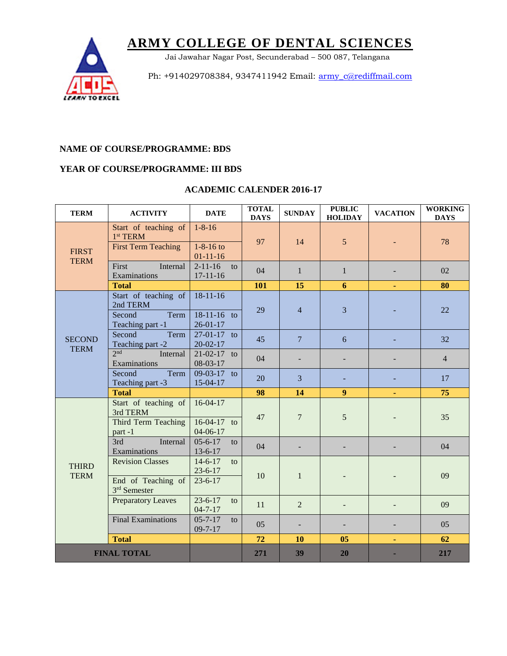

Jai Jawahar Nagar Post, Secunderabad – 500 087, Telangana

Ph: +914029708384, 9347411942 Email: [army\\_c@rediffmail.com](mailto:army_c@rediffmail.com)

#### **NAME OF COURSE/PROGRAMME: BDS**

## **YEAR OF COURSE/PROGRAMME: III BDS**

| <b>TERM</b>                  | <b>ACTIVITY</b>                                                   | <b>DATE</b>                                   | <b>TOTAL</b><br><b>DAYS</b> | <b>SUNDAY</b>   | <b>PUBLIC</b><br><b>HOLIDAY</b> | <b>VACATION</b> | <b>WORKING</b><br><b>DAYS</b> |
|------------------------------|-------------------------------------------------------------------|-----------------------------------------------|-----------------------------|-----------------|---------------------------------|-----------------|-------------------------------|
| <b>FIRST</b><br><b>TERM</b>  | Start of teaching of<br>$1st$ TERM                                | $1 - 8 - 16$                                  | 97                          | 14              | 5                               |                 | 78                            |
|                              | <b>First Term Teaching</b>                                        | $1 - 8 - 16$ to<br>$01-11-16$                 |                             |                 |                                 |                 |                               |
|                              | First<br>Internal<br>Examinations                                 | $2 - 11 - 16$<br>to<br>$17 - 11 - 16$         | 04                          | $\mathbf{1}$    | $\mathbf{1}$                    |                 | 02                            |
|                              | <b>Total</b>                                                      |                                               | 101                         | 15              | 6                               | ۰               | 80                            |
| <b>SECOND</b><br><b>TERM</b> | Start of teaching of<br>2nd TERM                                  | $18-11-16$                                    | 29                          | $\overline{4}$  | 3                               |                 | 22                            |
|                              | Second<br>Term<br>Teaching part -1                                | 18-11-16 to<br>$26 - 01 - 17$                 |                             |                 |                                 |                 |                               |
|                              | Second<br>Term<br>Teaching part -2                                | 27-01-17 to<br>$20 - 02 - 17$                 | 45                          | $7\phantom{.0}$ | 6                               |                 | 32                            |
|                              | 2 <sub>nd</sub><br>Internal<br>Examinations                       | $21-02-17$ to<br>08-03-17                     | 04                          |                 |                                 |                 | $\overline{4}$                |
|                              | Term<br>Second<br>Teaching part -3                                | 09-03-17 to<br>15-04-17                       | 20                          | 3               |                                 |                 | 17                            |
|                              | <b>Total</b>                                                      |                                               | 98                          | 14              | $\boldsymbol{9}$                |                 | 75                            |
| <b>THIRD</b><br><b>TERM</b>  | Start of teaching of<br>3rd TERM<br>Third Term Teaching<br>part-1 | $16-04-17$<br>$16-04-17$ to<br>$04 - 06 - 17$ | 47                          | $\overline{7}$  | 5                               |                 | 35                            |
|                              | 3rd<br>Internal<br>Examinations                                   | $05 - 6 - 17$<br>to<br>$13 - 6 - 17$          | 04                          |                 |                                 |                 | 04                            |
|                              | <b>Revision Classes</b>                                           | $14-6-17$<br>to<br>$23 - 6 - 17$              | 10                          | $\mathbf{1}$    |                                 |                 | 09                            |
|                              | End of Teaching of<br>3rd Semester                                | $23 - 6 - 17$                                 |                             |                 |                                 |                 |                               |
|                              | <b>Preparatory Leaves</b>                                         | $23 - 6 - 17$<br>to<br>$04 - 7 - 17$          | 11                          | $\overline{2}$  |                                 |                 | 09                            |
|                              | <b>Final Examinations</b>                                         | $05 - 7 - 17$<br>to<br>$09 - 7 - 17$          | 05                          |                 |                                 |                 | 05                            |
|                              | <b>Total</b>                                                      |                                               | 72                          | <b>10</b>       | 05                              | ä               | 62                            |
| <b>FINAL TOTAL</b>           |                                                                   |                                               | 271                         | 39              | 20                              |                 | 217                           |